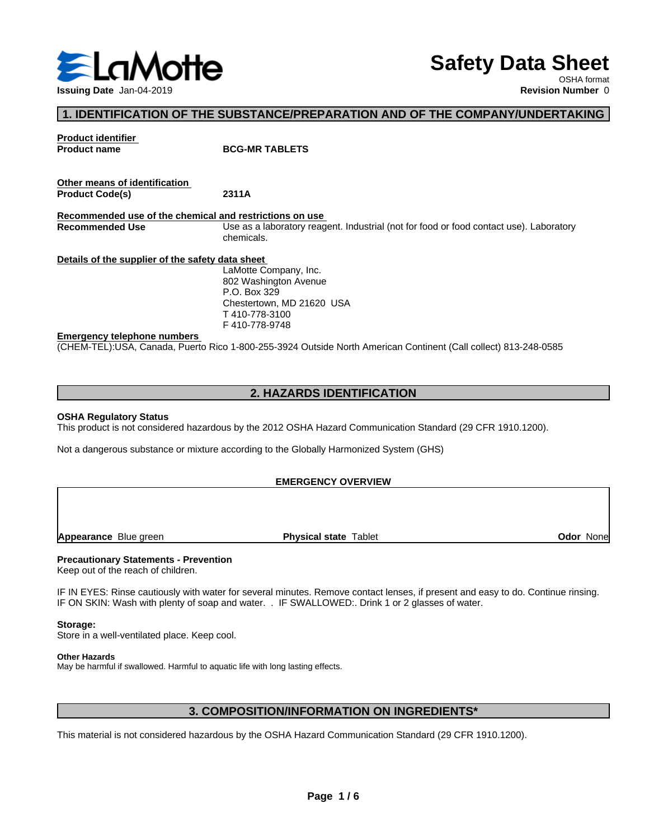

# **Safety Data Sheet**

OSHA format

### **1. IDENTIFICATION OF THE SUBSTANCE/PREPARATION AND OF THE COMPANY/UNDERTAKING**

**Product identifier Product name BCG-MR TABLETS Other means of identification Product Code(s) 2311A Recommended use of the chemical and restrictions on use Recommended Use** Use as a laboratory reagent. Industrial (not for food or food contact use). Laboratory chemicals. **Details of the supplier of the safety data sheet Emergency telephone numbers** (CHEM-TEL):USA, Canada, Puerto Rico 1-800-255-3924 Outside North American Continent (Call collect) 813-248-0585 LaMotte Company, Inc. 802 Washington Avenue P.O. Box 329 Chestertown, MD 21620 USA T 410-778-3100 F 410-778-9748

### **2. HAZARDS IDENTIFICATION**

#### **OSHA Regulatory Status**

This product is not considered hazardous by the 2012 OSHA Hazard Communication Standard (29 CFR 1910.1200).

Not a dangerous substance or mixture according to the Globally Harmonized System (GHS)

#### **EMERGENCY OVERVIEW**

**Appearance** Blue green **Physical state** Tablet

**Odor** None

#### **Precautionary Statements - Prevention**

Keep out of the reach of children.

IF IN EYES: Rinse cautiously with water for several minutes. Remove contact lenses, if present and easy to do. Continue rinsing. IF ON SKIN: Wash with plenty of soap and water. . IF SWALLOWED:. Drink 1 or 2 glasses of water.

#### **Storage:**

Store in a well-ventilated place. Keep cool.

#### **Other Hazards**

May be harmful if swallowed. Harmful to aquatic life with long lasting effects.

### **3. COMPOSITION/INFORMATION ON INGREDIENTS\***

This material is not considered hazardous by the OSHA Hazard Communication Standard (29 CFR 1910.1200).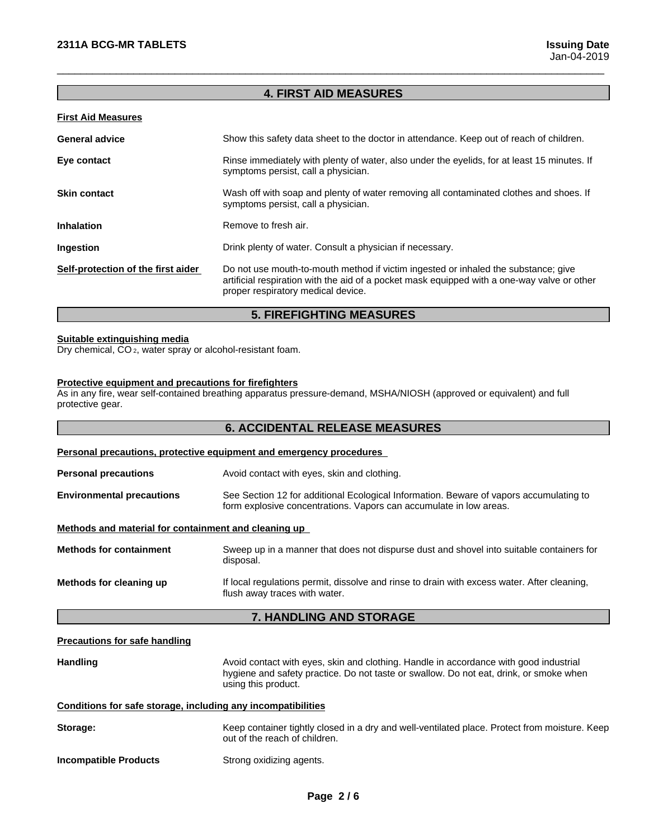### **4. FIRST AID MEASURES**

 $\overline{\phantom{a}}$  ,  $\overline{\phantom{a}}$  ,  $\overline{\phantom{a}}$  ,  $\overline{\phantom{a}}$  ,  $\overline{\phantom{a}}$  ,  $\overline{\phantom{a}}$  ,  $\overline{\phantom{a}}$  ,  $\overline{\phantom{a}}$  ,  $\overline{\phantom{a}}$  ,  $\overline{\phantom{a}}$  ,  $\overline{\phantom{a}}$  ,  $\overline{\phantom{a}}$  ,  $\overline{\phantom{a}}$  ,  $\overline{\phantom{a}}$  ,  $\overline{\phantom{a}}$  ,  $\overline{\phantom{a}}$ 

#### **First Aid Measures**

| <b>General advice</b>              | Show this safety data sheet to the doctor in attendance. Keep out of reach of children.                                                                                                                                 |
|------------------------------------|-------------------------------------------------------------------------------------------------------------------------------------------------------------------------------------------------------------------------|
| Eye contact                        | Rinse immediately with plenty of water, also under the eyelids, for at least 15 minutes. If<br>symptoms persist, call a physician.                                                                                      |
| <b>Skin contact</b>                | Wash off with soap and plenty of water removing all contaminated clothes and shoes. If<br>symptoms persist, call a physician.                                                                                           |
| <b>Inhalation</b>                  | Remove to fresh air.                                                                                                                                                                                                    |
| Ingestion                          | Drink plenty of water. Consult a physician if necessary.                                                                                                                                                                |
| Self-protection of the first aider | Do not use mouth-to-mouth method if victim ingested or inhaled the substance; give<br>artificial respiration with the aid of a pocket mask equipped with a one-way valve or other<br>proper respiratory medical device. |

### **5. FIREFIGHTING MEASURES**

#### **Suitable extinguishing media**

Dry chemical, CO 2, water spray or alcohol-resistant foam.

#### **Protective equipment and precautions for firefighters**

As in any fire, wear self-contained breathing apparatus pressure-demand, MSHA/NIOSH (approved or equivalent) and full protective gear.

### **6. ACCIDENTAL RELEASE MEASURES**

## **Personal precautions, protective equipment and emergency procedures Personal precautions** Avoid contact with eyes, skin and clothing. **Environmental precautions** See Section 12 for additional Ecological Information. Beware of vapors accumulating to form explosive concentrations. Vapors can accumulate in low areas. **Methods and material for containment and cleaning up Methods for containment** Sweep up in a manner that does not dispurse dust and shovel into suitable containers for disposal. **Methods for cleaning up** If local regulations permit, dissolve and rinse to drain with excess water. After cleaning, flush away traces with water.

### **7. HANDLING AND STORAGE**

#### **Precautions for safe handling**

Handling **Handling Avoid contact with eyes, skin and clothing. Handle in accordance with good industrial** hygiene and safety practice. Do not taste or swallow. Do not eat, drink, or smoke when using this product. **Conditions for safe storage, including any incompatibilities Storage:** Keep container tightly closed in a dry and well-ventilated place. Protect from moisture. Keep out of the reach of children. **Incompatible Products** Strong oxidizing agents.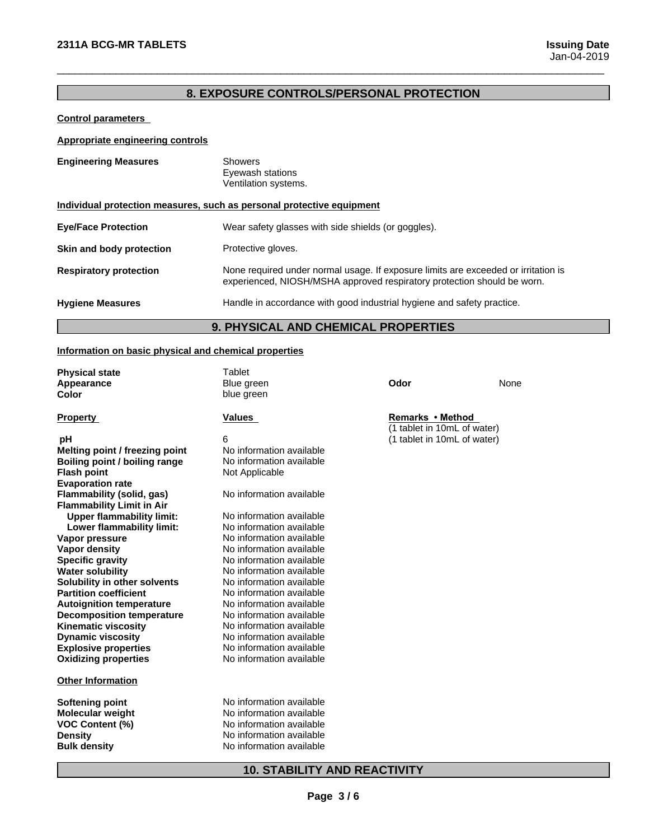### **8. EXPOSURE CONTROLS/PERSONAL PROTECTION**

 $\overline{\phantom{a}}$  ,  $\overline{\phantom{a}}$  ,  $\overline{\phantom{a}}$  ,  $\overline{\phantom{a}}$  ,  $\overline{\phantom{a}}$  ,  $\overline{\phantom{a}}$  ,  $\overline{\phantom{a}}$  ,  $\overline{\phantom{a}}$  ,  $\overline{\phantom{a}}$  ,  $\overline{\phantom{a}}$  ,  $\overline{\phantom{a}}$  ,  $\overline{\phantom{a}}$  ,  $\overline{\phantom{a}}$  ,  $\overline{\phantom{a}}$  ,  $\overline{\phantom{a}}$  ,  $\overline{\phantom{a}}$ 

### **Control parameters**

### **Appropriate engineering controls**

| <b>Engineering Measures</b>                                           | <b>Showers</b><br>Eyewash stations<br>Ventilation systems.                                                                                                    |  |
|-----------------------------------------------------------------------|---------------------------------------------------------------------------------------------------------------------------------------------------------------|--|
| Individual protection measures, such as personal protective equipment |                                                                                                                                                               |  |
| <b>Eye/Face Protection</b>                                            | Wear safety glasses with side shields (or goggles).                                                                                                           |  |
| Skin and body protection                                              | Protective gloves.                                                                                                                                            |  |
| <b>Respiratory protection</b>                                         | None required under normal usage. If exposure limits are exceeded or irritation is<br>experienced, NIOSH/MSHA approved respiratory protection should be worn. |  |
| <b>Hygiene Measures</b>                                               | Handle in accordance with good industrial hygiene and safety practice.                                                                                        |  |

# **9. PHYSICAL AND CHEMICAL PROPERTIES**

### **Information on basic physical and chemical properties**

| <b>Physical state</b>                             | <b>Tablet</b>            |                             |      |  |
|---------------------------------------------------|--------------------------|-----------------------------|------|--|
| Appearance                                        | Blue green               | Odor                        | None |  |
| Color                                             | blue green               |                             |      |  |
|                                                   |                          |                             |      |  |
| <b>Property</b>                                   | <b>Values</b>            | Remarks • Method            |      |  |
|                                                   |                          | (1 tablet in 10mL of water) |      |  |
| рH                                                | 6                        | (1 tablet in 10mL of water) |      |  |
| Melting point / freezing point                    | No information available |                             |      |  |
| Boiling point / boiling range                     | No information available |                             |      |  |
| <b>Flash point</b>                                | Not Applicable           |                             |      |  |
| <b>Evaporation rate</b>                           |                          |                             |      |  |
| Flammability (solid, gas)                         | No information available |                             |      |  |
| <b>Flammability Limit in Air</b>                  |                          |                             |      |  |
| <b>Upper flammability limit:</b>                  | No information available |                             |      |  |
| Lower flammability limit:                         | No information available |                             |      |  |
| Vapor pressure                                    | No information available |                             |      |  |
| <b>Vapor density</b>                              | No information available |                             |      |  |
| <b>Specific gravity</b>                           | No information available |                             |      |  |
| <b>Water solubility</b>                           | No information available |                             |      |  |
| Solubility in other solvents                      | No information available |                             |      |  |
| <b>Partition coefficient</b>                      | No information available |                             |      |  |
| <b>Autoignition temperature</b>                   | No information available |                             |      |  |
| <b>Decomposition temperature</b>                  | No information available |                             |      |  |
| <b>Kinematic viscosity</b>                        | No information available |                             |      |  |
| <b>Dynamic viscosity</b>                          | No information available |                             |      |  |
| <b>Explosive properties</b>                       | No information available |                             |      |  |
| <b>Oxidizing properties</b>                       | No information available |                             |      |  |
| <b>Other Information</b>                          |                          |                             |      |  |
|                                                   | No information available |                             |      |  |
| <b>Softening point</b><br><b>Molecular weight</b> | No information available |                             |      |  |
|                                                   | No information available |                             |      |  |
| <b>VOC Content (%)</b><br><b>Density</b>          | No information available |                             |      |  |
|                                                   | No information available |                             |      |  |
| <b>Bulk density</b>                               |                          |                             |      |  |
|                                                   |                          |                             |      |  |

### **10. STABILITY AND REACTIVITY**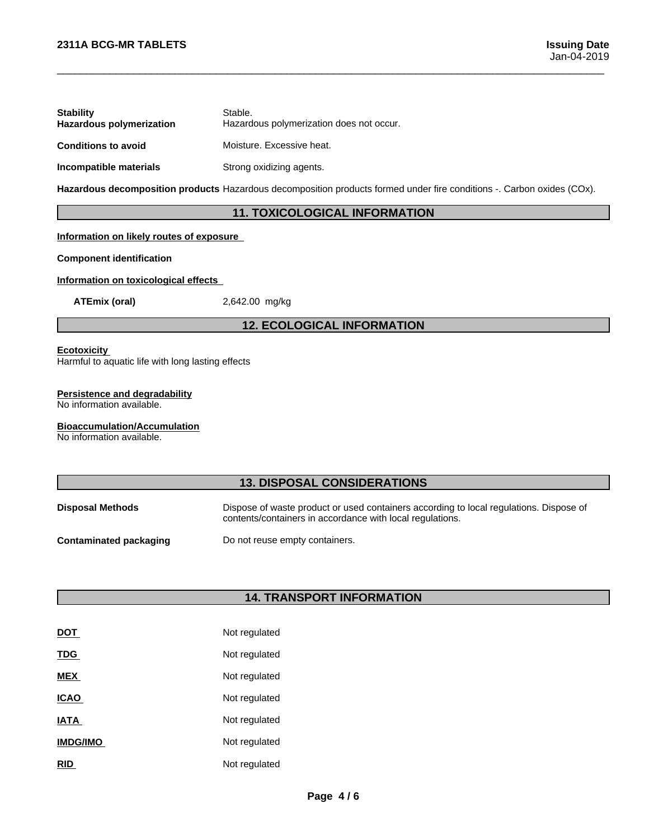| <b>Stability</b><br><b>Hazardous polymerization</b> | Stable.<br>Hazardous polymerization does not occur. |
|-----------------------------------------------------|-----------------------------------------------------|
| <b>Conditions to avoid</b>                          | Moisture. Excessive heat.                           |
| Incompatible materials                              | Strong oxidizing agents.                            |

**Hazardous decomposition products** Hazardous decomposition products formed under fire conditions -. Carbon oxides (COx).

### **11. TOXICOLOGICAL INFORMATION**

 $\overline{\phantom{a}}$  ,  $\overline{\phantom{a}}$  ,  $\overline{\phantom{a}}$  ,  $\overline{\phantom{a}}$  ,  $\overline{\phantom{a}}$  ,  $\overline{\phantom{a}}$  ,  $\overline{\phantom{a}}$  ,  $\overline{\phantom{a}}$  ,  $\overline{\phantom{a}}$  ,  $\overline{\phantom{a}}$  ,  $\overline{\phantom{a}}$  ,  $\overline{\phantom{a}}$  ,  $\overline{\phantom{a}}$  ,  $\overline{\phantom{a}}$  ,  $\overline{\phantom{a}}$  ,  $\overline{\phantom{a}}$ 

### **Information on likely routes of exposure**

### **Component identification**

### **Information on toxicological effects**

**ATEmix (oral)** 2,642.00 mg/kg

### **12. ECOLOGICAL INFORMATION**

#### **Ecotoxicity**

Harmful to aquatic life with long lasting effects

#### **Persistence and degradability**

No information available.

#### **Bioaccumulation/Accumulation**

No information available.

### **13. DISPOSAL CONSIDERATIONS**

| <b>Disposal Methods</b>       | Dispose of waste product or used containers according to local regulations. Dispose of<br>contents/containers in accordance with local regulations. |
|-------------------------------|-----------------------------------------------------------------------------------------------------------------------------------------------------|
| <b>Contaminated packaging</b> | Do not reuse empty containers.                                                                                                                      |

### **14. TRANSPORT INFORMATION**

| DOT             | Not regulated |
|-----------------|---------------|
| <b>TDG</b>      | Not regulated |
| <b>MEX</b>      | Not regulated |
| <b>ICAO</b>     | Not regulated |
| <b>IATA</b>     | Not regulated |
| <b>IMDG/IMO</b> | Not regulated |
| RID             | Not regulated |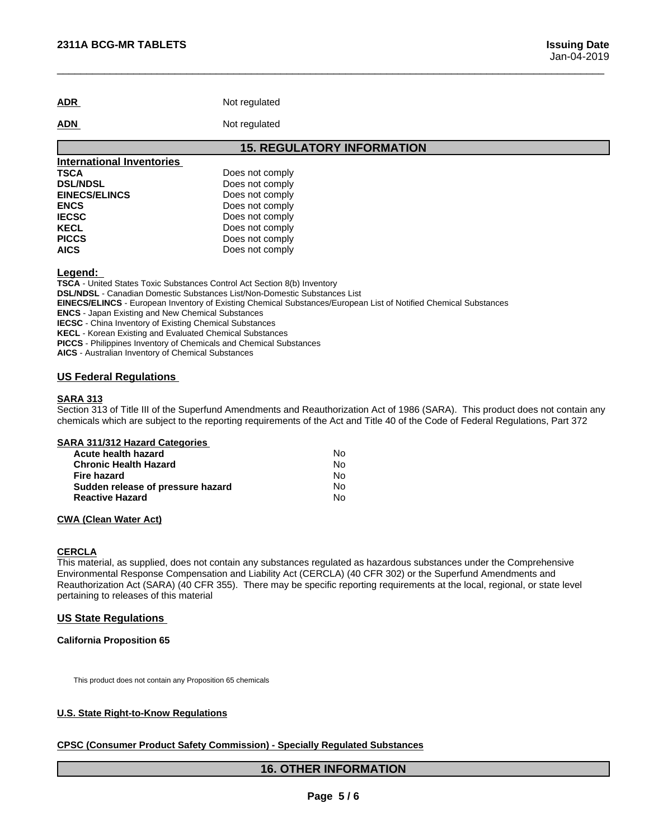| <b>ADR</b> | Not regulated |
|------------|---------------|

**ADN** Not regulated

### **15. REGULATORY INFORMATION**

 $\overline{\phantom{a}}$  ,  $\overline{\phantom{a}}$  ,  $\overline{\phantom{a}}$  ,  $\overline{\phantom{a}}$  ,  $\overline{\phantom{a}}$  ,  $\overline{\phantom{a}}$  ,  $\overline{\phantom{a}}$  ,  $\overline{\phantom{a}}$  ,  $\overline{\phantom{a}}$  ,  $\overline{\phantom{a}}$  ,  $\overline{\phantom{a}}$  ,  $\overline{\phantom{a}}$  ,  $\overline{\phantom{a}}$  ,  $\overline{\phantom{a}}$  ,  $\overline{\phantom{a}}$  ,  $\overline{\phantom{a}}$ 

| <b>International Inventories</b> |                 |
|----------------------------------|-----------------|
| <b>TSCA</b>                      | Does not comply |
| <b>DSL/NDSL</b>                  | Does not comply |
| <b>EINECS/ELINCS</b>             | Does not comply |
| <b>ENCS</b>                      | Does not comply |
| <b>IECSC</b>                     | Does not comply |
| <b>KECL</b>                      | Does not comply |
| <b>PICCS</b>                     | Does not comply |
| <b>AICS</b>                      | Does not comply |

**Legend:** 

**TSCA** - United States Toxic Substances Control Act Section 8(b) Inventory **DSL/NDSL** - Canadian Domestic Substances List/Non-Domestic Substances List **EINECS/ELINCS** - European Inventory of Existing Chemical Substances/European List of Notified Chemical Substances **ENCS** - Japan Existing and New Chemical Substances **IECSC** - China Inventory of Existing Chemical Substances **KECL** - Korean Existing and Evaluated Chemical Substances **PICCS** - Philippines Inventory of Chemicals and Chemical Substances **AICS** - Australian Inventory of Chemical Substances

#### **US Federal Regulations**

#### **SARA 313**

Section 313 of Title III of the Superfund Amendments and Reauthorization Act of 1986 (SARA). This product does not contain any chemicals which are subject to the reporting requirements of the Act and Title 40 of the Code of Federal Regulations, Part 372

#### **SARA 311/312 Hazard Categories**

| <b>Acute health hazard</b>        | No |
|-----------------------------------|----|
| <b>Chronic Health Hazard</b>      | No |
| Fire hazard                       | No |
| Sudden release of pressure hazard | No |
| <b>Reactive Hazard</b>            | No |

### **CWA** (Clean Water Act)

### **CERCLA**

This material, as supplied, does not contain any substances regulated as hazardous substances under the Comprehensive Environmental Response Compensation and Liability Act (CERCLA) (40 CFR 302) or the Superfund Amendments and Reauthorization Act (SARA) (40 CFR 355). There may be specific reporting requirements at the local, regional, or state level pertaining to releases of this material

### **US State Regulations**

#### **California Proposition 65**

This product does not contain any Proposition 65 chemicals

#### **U.S. State Right-to-Know Regulations**

### **CPSC (Consumer Product Safety Commission) - Specially Regulated Substances**

### **16. OTHER INFORMATION**